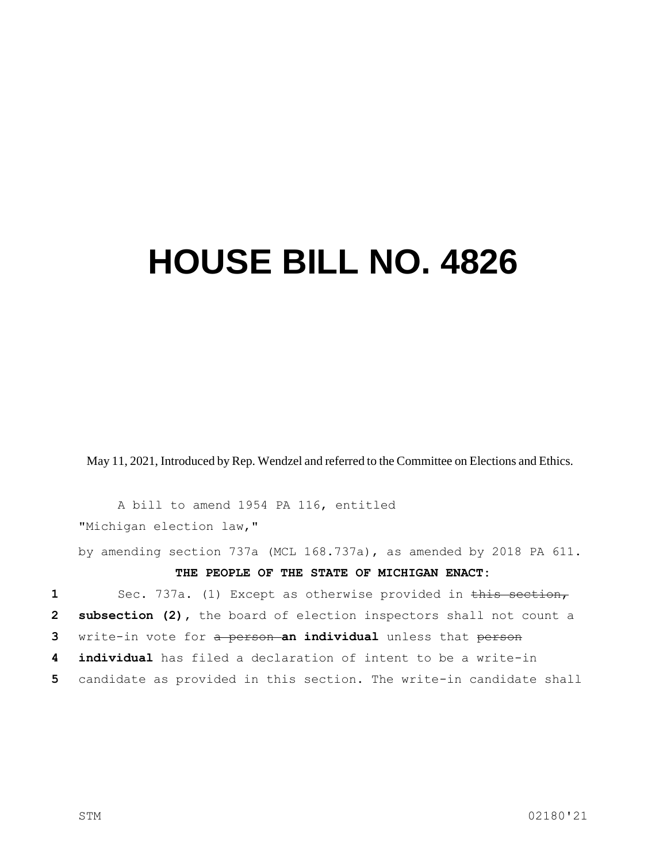## **HOUSE BILL NO. 4826**

May 11, 2021, Introduced by Rep. Wendzel and referred to the Committee on Elections and Ethics.

A bill to amend 1954 PA 116, entitled "Michigan election law,"

by amending section 737a (MCL 168.737a), as amended by 2018 PA 611.

## **THE PEOPLE OF THE STATE OF MICHIGAN ENACT:**

1 Sec. 737a. (1) Except as otherwise provided in this section, **subsection (2),** the board of election inspectors shall not count a write-in vote for a person **an individual** unless that person **individual** has filed a declaration of intent to be a write-in candidate as provided in this section. The write-in candidate shall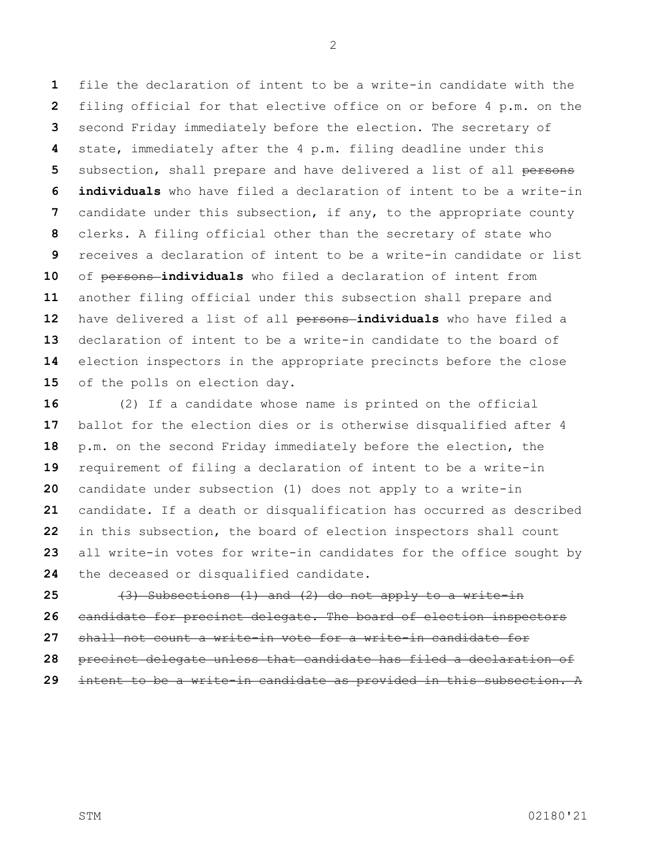file the declaration of intent to be a write-in candidate with the filing official for that elective office on or before 4 p.m. on the second Friday immediately before the election. The secretary of state, immediately after the 4 p.m. filing deadline under this 5 subsection, shall prepare and have delivered a list of all persons **individuals** who have filed a declaration of intent to be a write-in candidate under this subsection, if any, to the appropriate county clerks. A filing official other than the secretary of state who receives a declaration of intent to be a write-in candidate or list 10 of persons-individuals who filed a declaration of intent from another filing official under this subsection shall prepare and have delivered a list of all persons **individuals** who have filed a declaration of intent to be a write-in candidate to the board of election inspectors in the appropriate precincts before the close of the polls on election day.

 (2) If a candidate whose name is printed on the official ballot for the election dies or is otherwise disqualified after 4 p.m. on the second Friday immediately before the election, the requirement of filing a declaration of intent to be a write-in candidate under subsection (1) does not apply to a write-in candidate. If a death or disqualification has occurred as described in this subsection, the board of election inspectors shall count all write-in votes for write-in candidates for the office sought by the deceased or disqualified candidate.

 (3) Subsections (1) and (2) do not apply to a write-in candidate for precinct delegate. The board of election inspectors shall not count a write-in vote for a write-in candidate for precinct delegate unless that candidate has filed a declaration of intent to be a write-in candidate as provided in this subsection. A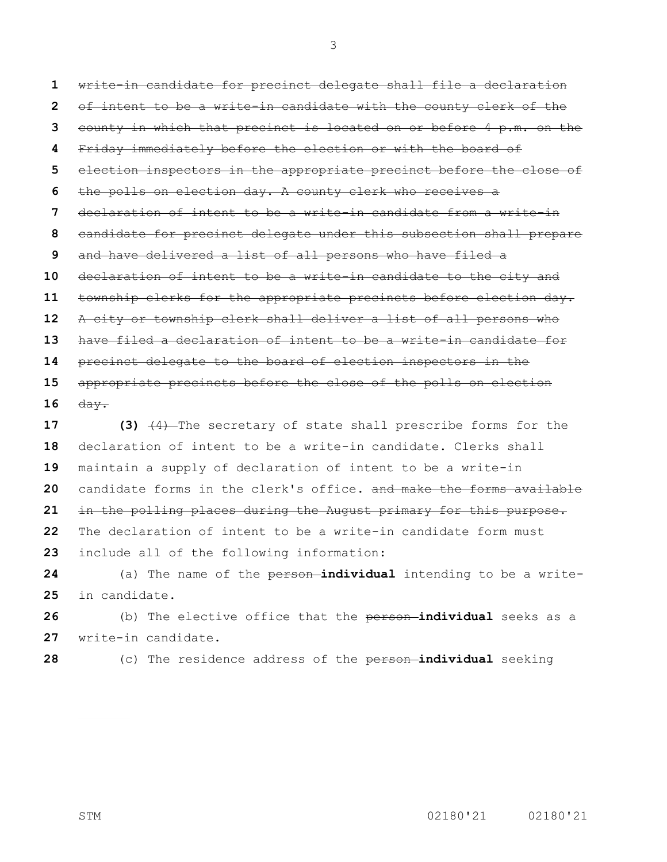write-in candidate for precinct delegate shall file a declaration of intent to be a write-in candidate with the county clerk of the county in which that precinct is located on or before 4 p.m. on the Friday immediately before the election or with the board of election inspectors in the appropriate precinct before the close of the polls on election day. A county clerk who receives a declaration of intent to be a write-in candidate from a write-in candidate for precinct delegate under this subsection shall prepare and have delivered a list of all persons who have filed a declaration of intent to be a write-in candidate to the city and township clerks for the appropriate precincts before election day. A city or township clerk shall deliver a list of all persons who have filed a declaration of intent to be a write-in candidate for precinct delegate to the board of election inspectors in the appropriate precincts before the close of the polls on election day.

 **(3)** (4) The secretary of state shall prescribe forms for the declaration of intent to be a write-in candidate. Clerks shall maintain a supply of declaration of intent to be a write-in candidate forms in the clerk's office**.** and make the forms available in the polling places during the August primary for this purpose. The declaration of intent to be a write-in candidate form must include all of the following information:

 (a) The name of the person **individual** intending to be a write-in candidate.

 (b) The elective office that the person **individual** seeks as a write-in candidate.

(c) The residence address of the person **individual** seeking